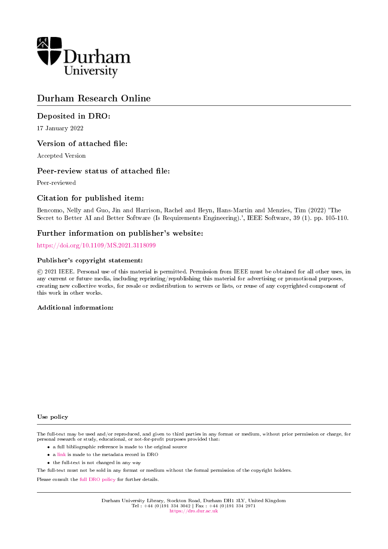

## Durham Research Online

## Deposited in DRO:

17 January 2022

## Version of attached file:

Accepted Version

## Peer-review status of attached file:

Peer-reviewed

## Citation for published item:

Bencomo, Nelly and Guo, Jin and Harrison, Rachel and Heyn, Hans-Martin and Menzies, Tim (2022) 'The Secret to Better AI and Better Software (Is Requirements Engineering).', IEEE Software, 39 (1). pp. 105-110.

## Further information on publisher's website:

<https://doi.org/10.1109/MS.2021.3118099>

#### Publisher's copyright statement:

 c 2021 IEEE. Personal use of this material is permitted. Permission from IEEE must be obtained for all other uses, in any current or future media, including reprinting/republishing this material for advertising or promotional purposes, creating new collective works, for resale or redistribution to servers or lists, or reuse of any copyrighted component of this work in other works.

### Additional information:

#### Use policy

The full-text may be used and/or reproduced, and given to third parties in any format or medium, without prior permission or charge, for personal research or study, educational, or not-for-profit purposes provided that:

- a full bibliographic reference is made to the original source
- a [link](http://dro.dur.ac.uk/35098/) is made to the metadata record in DRO
- the full-text is not changed in any way

The full-text must not be sold in any format or medium without the formal permission of the copyright holders.

Please consult the [full DRO policy](https://dro.dur.ac.uk/policies/usepolicy.pdf) for further details.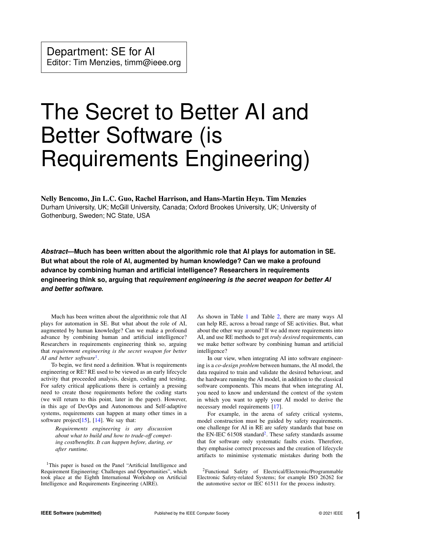# The Secret to Better AI and Better Software (is Requirements Engineering)

Nelly Bencomo, Jin L.C. Guo, Rachel Harrison, and Hans-Martin Heyn. Tim Menzies Durham University, UK; McGill University, Canada; Oxford Brookes University, UK; University of Gothenburg, Sweden; NC State, USA

*Abstract***—Much has been written about the algorithmic role that AI plays for automation in SE. But what about the role of AI, augmented by human knowledge? Can we make a profound advance by combining human and artificial intelligence? Researchers in requirements engineering think so, arguing that** *requirement engineering is the secret weapon for better AI and better software***.**

Much has been written about the algorithmic role that AI plays for automation in SE. But what about the role of AI, augmented by human knowledge? Can we make a profound advance by combining human and artificial intelligence? Researchers in requirements engineering think so, arguing that *requirement engineering is the secret weapon for better AI and better software*[1](#page-1-0) .

To begin, we first need a definition. What is requirements engineering or RE? RE used to be viewed as an early lifecycle activity that proceeded analysis, design, coding and testing. For safety critical applications there is certainly a pressing need to create those requirements before the coding starts (we will return to this point, later in the paper). However, in this age of DevOps and Autonomous and Self-adaptive systems, requirements can happen at many other times in a software project $[15]$ ,  $[14]$ . We say that:

*Requirements engineering is any discussion about what to build and how to trade-off competing cost/benefits. It can happen before, during, or after runtime.*

<span id="page-1-0"></span><sup>1</sup>This paper is based on the Panel "Artificial Intelligence and Requirement Engineering: Challenges and Opportunities", which took place at the Eighth International Workshop on Artificial Intelligence and Requirements Engineering (AIRE).

As shown in Table [1](#page-2-0) and Table [2,](#page-2-1) there are many ways AI can help RE, across a broad range of SE activities. But, what about the other way around? If we add more requirements into AI, and use RE methods to get *truly desired* requirements, can we make better software by combining human and artificial intelligence?

In our view, when integrating AI into software engineering is a *co-design problem* between humans, the AI model, the data required to train and validate the desired behaviour, and the hardware running the AI model, in addition to the classical software components. This means that when integrating AI, you need to know and understand the context of the system in which you want to apply your AI model to derive the necessary model requirements [\[17\]](#page-5-0).

For example, in the arena of safety critical systems, model construction must be guided by safety requirements. one challenge for AI in RE are safety standards that base on the EN-IEC 61508 standard<sup>[2](#page-1-1)</sup>. These safety standards assume that for software only systematic faults exists. Therefore, they emphasise correct processes and the creation of lifecycle artifacts to minimise systematic mistakes during both the

<span id="page-1-1"></span><sup>2</sup>Functional Safety of Electrical/Electronic/Programmable Electronic Safety-related Systems; for example ISO 26262 for the automotive sector or IEC 61511 for the process industry.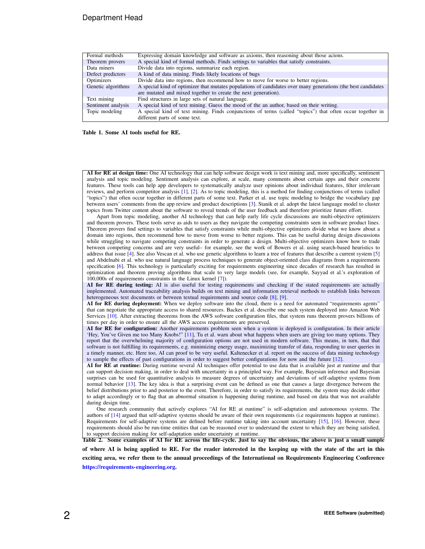#### Department Head

| Formal methods     | Expressing domain knowledge and software as axioms, then reasoning about those acions.                        |  |  |
|--------------------|---------------------------------------------------------------------------------------------------------------|--|--|
| Theorem provers    | A special kind of formal methods. Finds settings to variables that satisfy constraints.                       |  |  |
| Data miners        | Divide data into regions, summarize each region.                                                              |  |  |
| Defect predictors  | A kind of data mining. Finds likely locations of bugs                                                         |  |  |
| Optimizers         | Divide data into regions, then recommend how to move for worse to better regions.                             |  |  |
| Genetic algorithms | A special kind of optimizer that mutates populations of candidates over many generations (the best candidates |  |  |
|                    | are mutated and mixed together to create the next generation).                                                |  |  |
| Text mining        | Find structures in large sets of natural language.                                                            |  |  |
| Sentiment analysis | A special kind of text mining. Guess the mood of the an author, based on their writing.                       |  |  |
| Topic modeling     | A special kind of text mining. Finds conjunctions of terms (called "topics") that often occur together in     |  |  |
|                    | different parts of some text.                                                                                 |  |  |

<span id="page-2-0"></span>Table 1. Some AI tools useful for RE.

AI for RE at design time: One AI technology that can help software design work is text mining and, more specifically, sentiment analysis and topic modeling. Sentiment analysis can explore, at scale, many comments about certain apps and their concrete features. These tools can help app developers to systematically analyze user opinions about individual features, filter irrelevant reviews, and perform competitor analysis [\[1\]](#page-4-2), [\[2\]](#page-4-3). As to topic modeling, this is a method for finding conjunctions of terms (called "topics") that often occur together in different parts of some text. Parker et al. use topic modeling to bridge the vocabulary gap between users' comments from the app review and product descriptions [\[3\]](#page-4-4). Stanik et al. adopt the latest language model to cluster topics from Twitter content about the software to reveal trends of the user feedback and therefore prioritize future effort.

Apart from topic modeling, another AI technology that can help early life cycle discussions are multi-objective optimizers and theorem provers. These tools serve as aids to users as they navigate the competing constraints seen in software product lines. Theorem provers find settings to variables that satisfy constraints while multi-objective optimizers divide what we know about a domain into regions, then recommend how to move from worse to better regions. This can be useful during design discussions while struggling to navigate competing constraints in order to generate a design. Multi-objective optimizers know how to trade between competing concerns and are very useful– for example, see the work of Bowers et al. using search-based heuristics to address that issue [\[4\]](#page-4-5). See also Vescan et al. who use genetic algorithms to learn a tree of features that describe a current system [\[5\]](#page-4-6) and Abdelnabi et al. who use natural language process techniques to generate object-oriented class diagrams from a requirements specification [\[6\]](#page-4-7). This technology is particularly exciting for requirements engineering since decades of research has resulted in optimization and theorem proving algorithms that scale to very large models (see, for example, Sayyad et al.'s exploration of 100,000s of requirements constraints in the Linux kernel [\[7\]](#page-4-8)).

AI for RE during testing: AI is also useful for testing requirements and checking if the stated requirements are actually implemented. Automated traceability analysis builds on text mining and information retrieval methods to establish links between heterogeneous text documents or between textual requirements and source code [\[8\]](#page-4-9), [\[9\]](#page-4-10).

AI for RE during deployment: When we deploy software into the cloud, there is a need for automated "requirements agents" that can negotiate the appropriate access to shared resources. Backes et al. describe one such system deployed into Amazon Web Services [\[10\]](#page-4-11). After extracting theorems from the AWS software configuration files, that system runs theorem provers billions of times per day in order to ensure all the AWS access requirements are preserved.

AI for RE for configuration: Another requirements problem seen when a system is deployed is configuration. In their article 'Hey, You've Given me too Many Knobs!" [\[11\]](#page-4-12), Tu et al. warn about what happens when users are giving too many options. They report that the overwhelming majority of configuration options are not used in modern software. This means, in turn, that that software is not fulfilling its requirements, e.g. minimizing energy usage, maximizing transfer of data, responding to user queries in a timely manner, etc. Here too, AI can proof to be very useful. Kaltenecker et al. report on the success of data mining technology to sample the effects of past configurations in order to suggest better configurations for now and the future [\[12\]](#page-4-13).

AI for RE at runtime: During runtime several AI techniques offer potential to use data that is available just at runtime and that can support decision making, in order to deal with uncertainty in a principled way. For example, Bayesian inference and Bayesian surprises can be used for quantitative analysis to measure degrees of uncertainty and deviations of self-adaptive systems from normal behavior [\[13\]](#page-4-14). The key idea is that a surprising event can be defined as one that causes a large divergence between the belief distributions prior to and posterior to the event. Therefore, in order to satisfy its requirements, the system may decide either to adapt accordingly or to flag that an abnormal situation is happening during runtime, and based on data that was not available during design time.

One research community that actively explores "AI for RE at runtime" is self-adaptation and autonomous systems. The authors of [\[14\]](#page-4-1) argued that self-adaptive systems should be aware of their own requirements (i.e requirements happen at runtime). Requirements for self-adaptive systems are defined before runtime taking into account uncertainty [\[15\]](#page-4-0), [\[16\]](#page-5-1). However, these requirements should also be run-time entities that can be reasoned over to understand the extent to which they are being satisfied, to support decision making for self-adaptation under uncertainty at runtime.

<span id="page-2-1"></span>Table 2. Some examples of AI for RE across the life-cycle. Just to say the obvious, the above is just a small sample

of where AI is being applied to RE. For the reader interested in the keeping up with the state of the art in this exciting area, we refer them to the annual proceedings of the International on Requirements Engineering Conference [https://requirements-engineering.org.](https://requirements-engineering.org)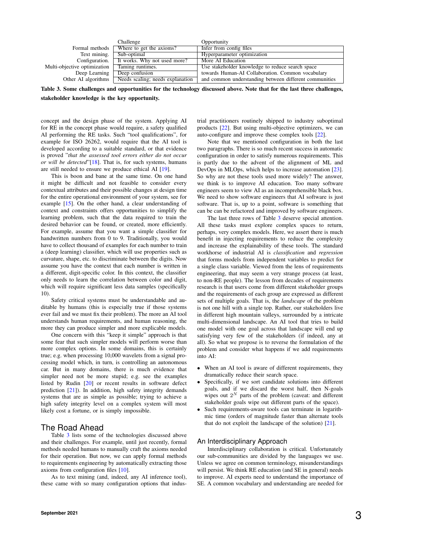|                              | Challenge                        | Opportunity                                            |
|------------------------------|----------------------------------|--------------------------------------------------------|
| Formal methods               | Where to get the axioms?         | Infer from config files                                |
| Text mining.                 | Sub-optimal                      | Hyperparameter optimization                            |
| Configuration.               | It works. Why not used more?     | More AI Education                                      |
| Multi-objective optimization | Taming runtimes.                 | Use stakeholder knowledge to reduce search space       |
| Deep Learning                | Deep confusion                   | towards Human-AI Collaboration. Common vocabulary      |
| Other AI algorithms          | Needs scaling; needs explanation | and common understanding between different communities |

<span id="page-3-0"></span>Table 3. Some challenges and opportunities for the technology discussed above. Note that for the last three challenges, stakeholder knowledge is the key opportunity.

concept and the design phase of the system. Applying AI for RE in the concept phase would require, a safety qualified AI performing the RE tasks. Such "tool qualifications", for example for ISO 26262, would require that the AI tool is developed according to a suitable standard, or that evidence is proved "*that the assessed tool errors either do not occur or will be detected*"[\[18\]](#page-5-2). That is, for such systems, humans are still needed to ensure we produce ethical AI [\[19\]](#page-5-3).

This is boon and bane at the same time. On one hand it might be difficult and not feasible to consider every contextual attributes and their possible changes at design time for the entire operational environment of your system, see for example [\[15\]](#page-4-0). On the other hand, a clear understanding of context and constraints offers opportunities to simplify the learning problem, such that the data required to train the desired behavior can be found, or created, more efficiently. For example, assume that you want a simple classifier for handwritten numbers from 0 to 9. Traditionally, you would have to collect thousand of examples for each number to train a (deep learning) classifier, which will use properties such as curvature, shape, etc. to discriminate between the digits. Now assume you have the context that each number is written in a different, digit-specific color. In this context, the classifier only needs to learn the correlation between color and digit, which will require significant less data samples (specifically 10).

Safety critical systems must be understandable and auditable by humans (this is especially true if those systems ever fail and we must fix their problem). The more an AI tool understands human requirements, and human reasoning, the more they can produce simpler and more explicable models.

One concern with this "keep it simple" approach is that some fear that such simpler models will perform worse than more complex options. In some domains, this is certainly true; e.g. when processing 10,000 wavelets from a signal processing model which, in turn, is controlling an autonomous car. But in many domains, there is much evidence that simpler need not be more stupid; e.g. see the examples listed by Rudin [\[20\]](#page-5-4) or recent results in software defect prediction [\[21\]](#page-5-5)). In addition, high safety integrity demands systems that are as simple as possible; trying to achieve a high safety integrity level on a complex system will most likely cost a fortune, or is simply impossible.

#### The Road Ahead

Table [3](#page-3-0) lists some of the technologies discussed above and their challenges. For example, until just recently, formal methods needed humans to manually craft the axioms needed for their operation. But now, we can apply formal methods to requirements engineering by automatically extracting those axioms from configuration files [\[10\]](#page-4-11).

As to text mining (and, indeed, any AI inference tool), these came with so many configuration options that industrial practitioners routinely shipped to industry suboptimal products [\[22\]](#page-5-6). But using multi-objective optimizers, we can auto-configure and improve these complex tools [\[22\]](#page-5-6).

Note that we mentioned configuration in both the last two paragraphs. There is so much recent success in automatic configuration in order to satisfy numerous requirements. This is partly due to the advent of the alignment of ML and DevOps in MLOps, which helps to increase automation [\[23\]](#page-5-7). So why are not these tools used more widely? The answer, we think is to improve AI education. Too many software engineers seem to view AI as an incomprehensible black box. We need to show software engineers that AI software is just software. That is, up to a point, software is something that can be can be refactored and improved by software engineers.

The last three rows of Table [3](#page-3-0) deserve special attention. All these tasks must explore complex spaces to return, perhaps, very complex models. Here, we assert there is much benefit in injecting requirements to reduce the complexity and increase the explainability of these tools. The standard workhorse of industrial AI is *classification* and *regression* that forms models from independent variables to predict for a single class variable. Viewed from the lens of requirements engineering, that may seem a very strange process (at least, to non-RE people). The lesson from decades of requirements research is that users come from different stakeholder groups and the requirements of each group are expressed as different sets of multiple goals. That is, the *landscape* of the problem is not one hill with a single top. Rather, our stakeholders live in different high mountain valleys, surrounded by a intricate multi-dimensional landscape. An AI tool that tries to build one model with one goal across that landscape will end up satisfying very few of the stakeholders (if indeed, any at all). So what we propose is to reverse the formulation of the problem and consider what happens if we add requirements into AI:

- When an AI tool is aware of different requirements, they dramatically reduce their search space.
- Specifically, if we sort candidate solutions into different goals, and if we discard the worst half, then N-goals wipes out  $2^N$  parts of the problem (caveat: and different stakeholder goals wipe out different parts of the space).
- Such requirements-aware tools can terminate in logarithmic time (orders of magnitude faster than alternate tools that do not exploit the landscape of the solution) [\[21\]](#page-5-5).

#### An Interdisciplinary Approach

Interdisciplinary collaboration is critical. Unfortunately our sub-communities are divided by the languages we use. Unless we agree on common terminology, misunderstandings will persist. We think RE education (and SE in general) needs to improve. AI experts need to understand the importance of SE. A common vocabulary and understanding are needed for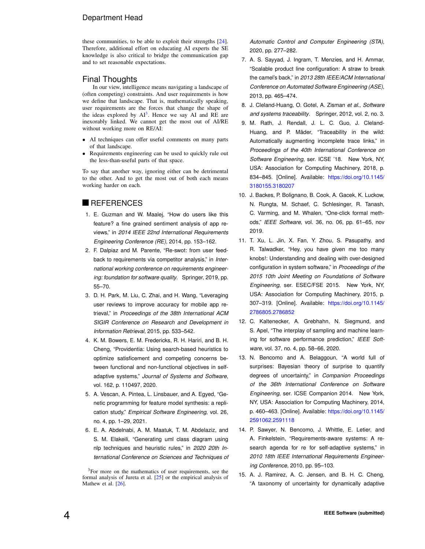#### Department Head

these communities, to be able to exploit their strengths [\[24\]](#page-5-8). Therefore, additional effort on educating AI experts the SE knowledge is also critical to bridge the communication gap and to set reasonable expectations.

#### Final Thoughts

In our view, intelligence means navigating a landscape of (often competing) constraints. And user requirements is how we define that landscape. That is, mathematically speaking, user requirements are the forces that change the shape of the ideas explored by  $AI^3$  $AI^3$ . Hence we say AI and RE are inexorably linked. We cannot get the most out of AI/RE without working more on RE/AI:

- AI techniques can offer useful comments on many parts of that landscape.
- Requirements engineering can be used to quickly rule out the less-than-useful parts of that space.

To say that another way, ignoring either can be detrimental to the other. And to get the most out of both each means working harder on each.

#### **REFERENCES**

- <span id="page-4-2"></span>1. E. Guzman and W. Maalej, "How do users like this feature? a fine grained sentiment analysis of app reviews," in *2014 IEEE 22nd International Requirements Engineering Conference (RE)*, 2014, pp. 153–162.
- <span id="page-4-3"></span>2. F. Dalpiaz and M. Parente, "Re-swot: from user feedback to requirements via competitor analysis," in *International working conference on requirements engineering: foundation for software quality*. Springer, 2019, pp. 55–70.
- <span id="page-4-4"></span>3. D. H. Park, M. Liu, C. Zhai, and H. Wang, "Leveraging user reviews to improve accuracy for mobile app retrieval," in *Proceedings of the 38th International ACM SIGIR Conference on Research and Development in Information Retrieval*, 2015, pp. 533–542.
- <span id="page-4-5"></span>4. K. M. Bowers, E. M. Fredericks, R. H. Hariri, and B. H. Cheng, "Providentia: Using search-based heuristics to optimize satisficement and competing concerns between functional and non-functional objectives in selfadaptive systems," *Journal of Systems and Software*, vol. 162, p. 110497, 2020.
- <span id="page-4-6"></span>5. A. Vescan, A. Pintea, L. Linsbauer, and A. Egyed, "Genetic programming for feature model synthesis: a replication study," *Empirical Software Engineering*, vol. 26, no. 4, pp. 1–29, 2021.
- <span id="page-4-7"></span>6. E. A. Abdelnabi, A. M. Maatuk, T. M. Abdelaziz, and S. M. Elakeili, "Generating uml class diagram using nlp techniques and heuristic rules," in *2020 20th International Conference on Sciences and Techniques of*

<span id="page-4-15"></span><sup>3</sup>For more on the mathematics of user requirements, see the formal analysis of Jureta et al. [\[25\]](#page-5-9) or the empirical analysis of Mathew et al. [\[26\]](#page-5-10).

*Automatic Control and Computer Engineering (STA)*, 2020, pp. 277–282.

- <span id="page-4-8"></span>7. A. S. Sayyad, J. Ingram, T. Menzies, and H. Ammar, "Scalable product line configuration: A straw to break the camel's back," in *2013 28th IEEE/ACM International Conference on Automated Software Engineering (ASE)*, 2013, pp. 465–474.
- <span id="page-4-9"></span>8. J. Cleland-Huang, O. Gotel, A. Zisman *et al.*, *Software and systems traceability*. Springer, 2012, vol. 2, no. 3.
- <span id="page-4-10"></span>9. M. Rath, J. Rendall, J. L. C. Guo, J. Cleland-Huang, and P. Mäder, "Traceability in the wild: Automatically augmenting incomplete trace links," in *Proceedings of the 40th International Conference on Software Engineering*, ser. ICSE '18. New York, NY, USA: Association for Computing Machinery, 2018, p. 834–845. [Online]. Available: [https://doi.org/10.1145/](https://doi.org/10.1145/3180155.3180207) [3180155.3180207](https://doi.org/10.1145/3180155.3180207)
- <span id="page-4-11"></span>10. J. Backes, P. Bolignano, B. Cook, A. Gacek, K. Luckow, N. Rungta, M. Schaef, C. Schlesinger, R. Tanash, C. Varming, and M. Whalen, "One-click formal methods," *IEEE Software*, vol. 36, no. 06, pp. 61–65, nov 2019.
- <span id="page-4-12"></span>11. T. Xu, L. Jin, X. Fan, Y. Zhou, S. Pasupathy, and R. Talwadker, "Hey, you have given me too many knobs!: Understanding and dealing with over-designed configuration in system software," in *Proceedings of the 2015 10th Joint Meeting on Foundations of Software Engineering*, ser. ESEC/FSE 2015. New York, NY, USA: Association for Computing Machinery, 2015, p. 307–319. [Online]. Available: [https://doi.org/10.1145/](https://doi.org/10.1145/2786805.2786852) [2786805.2786852](https://doi.org/10.1145/2786805.2786852)
- <span id="page-4-13"></span>12. C. Kaltenecker, A. Grebhahn, N. Siegmund, and S. Apel, "The interplay of sampling and machine learning for software performance prediction," *IEEE Software*, vol. 37, no. 4, pp. 58–66, 2020.
- <span id="page-4-14"></span>13. N. Bencomo and A. Belaggoun, "A world full of surprises: Bayesian theory of surprise to quantify degrees of uncertainty," in *Companion Proceedings of the 36th International Conference on Software Engineering*, ser. ICSE Companion 2014. New York, NY, USA: Association for Computing Machinery, 2014, p. 460–463. [Online]. Available: [https://doi.org/10.1145/](https://doi.org/10.1145/2591062.2591118) [2591062.2591118](https://doi.org/10.1145/2591062.2591118)
- <span id="page-4-1"></span>14. P. Sawyer, N. Bencomo, J. Whittle, E. Letier, and A. Finkelstein, "Requirements-aware systems: A research agenda for re for self-adaptive systems," in *2010 18th IEEE International Requirements Engineering Conference*, 2010, pp. 95–103.
- <span id="page-4-0"></span>15. A. J. Ramirez, A. C. Jensen, and B. H. C. Cheng, "A taxonomy of uncertainty for dynamically adaptive